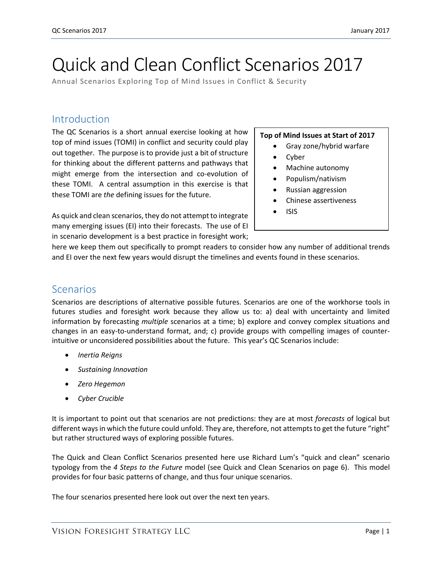# Quick and Clean Conflict Scenarios 2017

Annual Scenarios Exploring Top of Mind Issues in Conflict & Security

## Introduction

The QC Scenarios is a short annual exercise looking at how top of mind issues (TOMI) in conflict and security could play out together. The purpose is to provide just a bit of structure for thinking about the different patterns and pathways that might emerge from the intersection and co-evolution of these TOMI. A central assumption in this exercise is that these TOMI are *the* defining issues for the future.

As quick and clean scenarios, they do not attempt to integrate many emerging issues (EI) into their forecasts. The use of EI in scenario development is a best practice in foresight work;

#### **Top of Mind Issues at Start of 2017**

- Gray zone/hybrid warfare
- Cyber
- Machine autonomy
- Populism/nativism
- Russian aggression
- Chinese assertiveness
- $\bullet$  ISIS

here we keep them out specifically to prompt readers to consider how any number of additional trends and EI over the next few years would disrupt the timelines and events found in these scenarios.

### Scenarios

Scenarios are descriptions of alternative possible futures. Scenarios are one of the workhorse tools in futures studies and foresight work because they allow us to: a) deal with uncertainty and limited information by forecasting *multiple* scenarios at a time; b) explore and convey complex situations and changes in an easy-to-understand format, and; c) provide groups with compelling images of counterintuitive or unconsidered possibilities about the future. This year's QC Scenarios include:

- *Inertia Reigns*
- *Sustaining Innovation*
- *Zero Hegemon*
- *Cyber Crucible*

It is important to point out that scenarios are not predictions: they are at most *forecasts* of logical but different ways in which the future could unfold. They are, therefore, not attempts to get the future "right" but rather structured ways of exploring possible futures.

The Quick and Clean Conflict Scenarios presented here use Richard Lum's "quick and clean" scenario typology from the *4 Steps to the Future* model (see Quick and Clean Scenarios on page 6). This model provides for four basic patterns of change, and thus four unique scenarios.

The four scenarios presented here look out over the next ten years.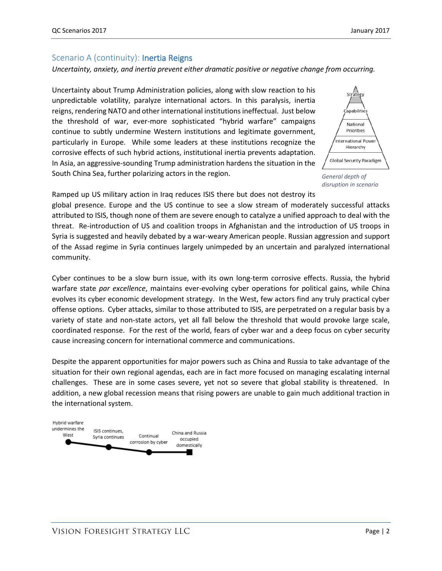#### Scenario A (continuity): **Inertia Reigns**

#### *Uncertainty, anxiety, and inertia prevent either dramatic positive or negative change from occurring.*

Uncertainty about Trump Administration policies, along with slow reaction to his unpredictable volatility, paralyze international actors. In this paralysis, inertia reigns, rendering NATO and other international institutions ineffectual. Just below the threshold of war, ever-more sophisticated "hybrid warfare" campaigns continue to subtly undermine Western institutions and legitimate government, particularly in Europe. While some leaders at these institutions recognize the corrosive effects of such hybrid actions, institutional inertia prevents adaptation. In Asia, an aggressive-sounding Trump administration hardens the situation in the South China Sea, further polarizing actors in the region.



*General depth of disruption in scenario*

Ramped up US military action in Iraq reduces ISIS there but does not destroy its

global presence. Europe and the US continue to see a slow stream of moderately successful attacks attributed to ISIS, though none of them are severe enough to catalyze a unified approach to deal with the threat. Re-introduction of US and coalition troops in Afghanistan and the introduction of US troops in Syria is suggested and heavily debated by a war-weary American people. Russian aggression and support of the Assad regime in Syria continues largely unimpeded by an uncertain and paralyzed international community.

Cyber continues to be a slow burn issue, with its own long-term corrosive effects. Russia, the hybrid warfare state *par excellence*, maintains ever-evolving cyber operations for political gains, while China evolves its cyber economic development strategy. In the West, few actors find any truly practical cyber offense options. Cyber attacks, similar to those attributed to ISIS, are perpetrated on a regular basis by a variety of state and non-state actors, yet all fall below the threshold that would provoke large scale, coordinated response. For the rest of the world, fears of cyber war and a deep focus on cyber security cause increasing concern for international commerce and communications.

Despite the apparent opportunities for major powers such as China and Russia to take advantage of the situation for their own regional agendas, each are in fact more focused on managing escalating internal challenges. These are in some cases severe, yet not so severe that global stability is threatened. In addition, a new global recession means that rising powers are unable to gain much additional traction in the international system.

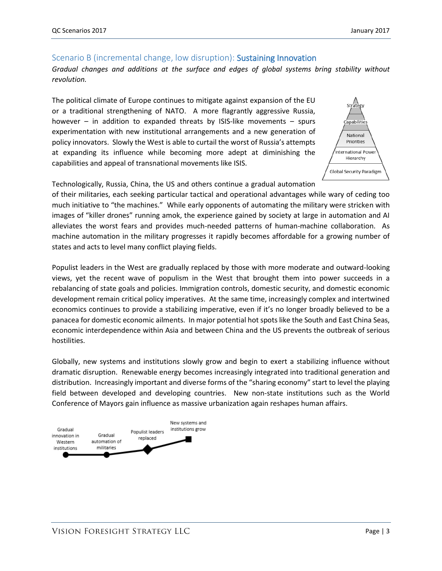# Scenario B (incremental change, low disruption): Sustaining Innovation

*Gradual changes and additions at the surface and edges of global systems bring stability without revolution.*

The political climate of Europe continues to mitigate against expansion of the EU or a traditional strengthening of NATO. A more flagrantly aggressive Russia, however – in addition to expanded threats by ISIS-like movements – spurs experimentation with new institutional arrangements and a new generation of policy innovators. Slowly the West is able to curtail the worst of Russia's attempts at expanding its influence while becoming more adept at diminishing the capabilities and appeal of transnational movements like ISIS.



Technologically, Russia, China, the US and others continue a gradual automation

of their militaries, each seeking particular tactical and operational advantages while wary of ceding too much initiative to "the machines." While early opponents of automating the military were stricken with images of "killer drones" running amok, the experience gained by society at large in automation and AI alleviates the worst fears and provides much-needed patterns of human-machine collaboration. As machine automation in the military progresses it rapidly becomes affordable for a growing number of states and acts to level many conflict playing fields.

Populist leaders in the West are gradually replaced by those with more moderate and outward-looking views, yet the recent wave of populism in the West that brought them into power succeeds in a rebalancing of state goals and policies. Immigration controls, domestic security, and domestic economic development remain critical policy imperatives. At the same time, increasingly complex and intertwined economics continues to provide a stabilizing imperative, even if it's no longer broadly believed to be a panacea for domestic economic ailments. In major potential hot spots like the South and East China Seas, economic interdependence within Asia and between China and the US prevents the outbreak of serious hostilities.

Globally, new systems and institutions slowly grow and begin to exert a stabilizing influence without dramatic disruption. Renewable energy becomes increasingly integrated into traditional generation and distribution. Increasingly important and diverse forms of the "sharing economy" start to level the playing field between developed and developing countries. New non-state institutions such as the World Conference of Mayors gain influence as massive urbanization again reshapes human affairs.

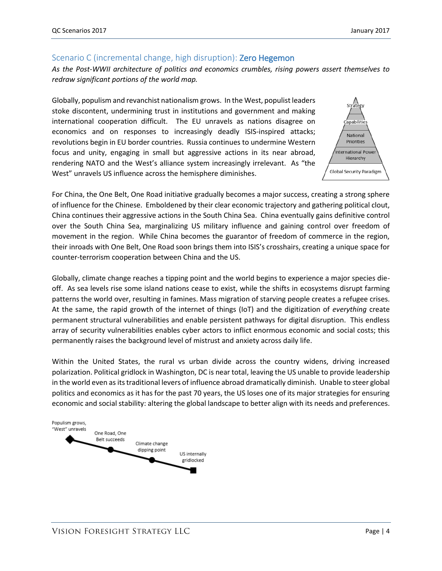#### Scenario C (incremental change, high disruption): **Zero Hegemon**

*As the Post-WWII architecture of politics and economics crumbles, rising powers assert themselves to redraw significant portions of the world map.*

Globally, populism and revanchist nationalism grows. In the West, populist leaders stoke discontent, undermining trust in institutions and government and making international cooperation difficult. The EU unravels as nations disagree on economics and on responses to increasingly deadly ISIS-inspired attacks; revolutions begin in EU border countries. Russia continues to undermine Western focus and unity, engaging in small but aggressive actions in its near abroad, rendering NATO and the West's alliance system increasingly irrelevant. As "the West" unravels US influence across the hemisphere diminishes.



For China, the One Belt, One Road initiative gradually becomes a major success, creating a strong sphere of influence for the Chinese. Emboldened by their clear economic trajectory and gathering political clout, China continues their aggressive actions in the South China Sea. China eventually gains definitive control over the South China Sea, marginalizing US military influence and gaining control over freedom of movement in the region. While China becomes the guarantor of freedom of commerce in the region, their inroads with One Belt, One Road soon brings them into ISIS's crosshairs, creating a unique space for counter-terrorism cooperation between China and the US.

Globally, climate change reaches a tipping point and the world begins to experience a major species dieoff. As sea levels rise some island nations cease to exist, while the shifts in ecosystems disrupt farming patterns the world over, resulting in famines. Mass migration of starving people creates a refugee crises. At the same, the rapid growth of the internet of things (IoT) and the digitization of *everything* create permanent structural vulnerabilities and enable persistent pathways for digital disruption. This endless array of security vulnerabilities enables cyber actors to inflict enormous economic and social costs; this permanently raises the background level of mistrust and anxiety across daily life.

Within the United States, the rural vs urban divide across the country widens, driving increased polarization. Political gridlock in Washington, DC is near total, leaving the US unable to provide leadership in the world even as its traditional levers of influence abroad dramatically diminish. Unable to steer global politics and economics as it has for the past 70 years, the US loses one of its major strategies for ensuring economic and social stability: altering the global landscape to better align with its needs and preferences.

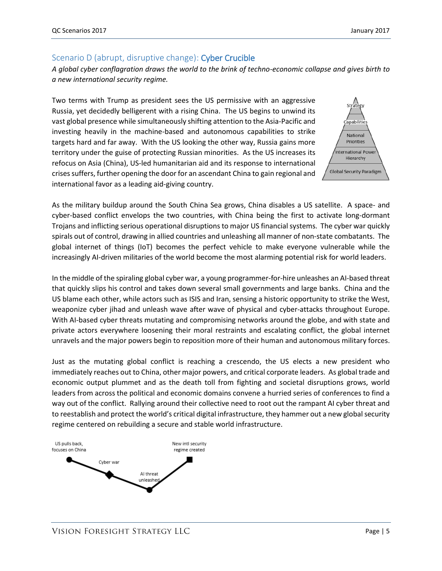#### Scenario D (abrupt, disruptive change): Cyber Crucible

*A global cyber conflagration draws the world to the brink of techno-economic collapse and gives birth to a new international security regime.*

Two terms with Trump as president sees the US permissive with an aggressive Russia, yet decidedly belligerent with a rising China. The US begins to unwind its vast global presence while simultaneously shifting attention to the Asia-Pacific and investing heavily in the machine-based and autonomous capabilities to strike targets hard and far away. With the US looking the other way, Russia gains more territory under the guise of protecting Russian minorities. As the US increases its refocus on Asia (China), US-led humanitarian aid and its response to international crises suffers, further opening the door for an ascendant China to gain regional and international favor as a leading aid-giving country.



As the military buildup around the South China Sea grows, China disables a US satellite. A space- and cyber-based conflict envelops the two countries, with China being the first to activate long-dormant Trojans and inflicting serious operational disruptions to major US financial systems. The cyber war quickly spirals out of control, drawing in allied countries and unleashing all manner of non-state combatants. The global internet of things (IoT) becomes the perfect vehicle to make everyone vulnerable while the increasingly AI-driven militaries of the world become the most alarming potential risk for world leaders.

In the middle of the spiraling global cyber war, a young programmer-for-hire unleashes an AI-based threat that quickly slips his control and takes down several small governments and large banks. China and the US blame each other, while actors such as ISIS and Iran, sensing a historic opportunity to strike the West, weaponize cyber jihad and unleash wave after wave of physical and cyber-attacks throughout Europe. With AI-based cyber threats mutating and compromising networks around the globe, and with state and private actors everywhere loosening their moral restraints and escalating conflict, the global internet unravels and the major powers begin to reposition more of their human and autonomous military forces.

Just as the mutating global conflict is reaching a crescendo, the US elects a new president who immediately reaches out to China, other major powers, and critical corporate leaders. As global trade and economic output plummet and as the death toll from fighting and societal disruptions grows, world leaders from across the political and economic domains convene a hurried series of conferences to find a way out of the conflict. Rallying around their collective need to root out the rampant AI cyber threat and to reestablish and protect the world's critical digital infrastructure, they hammer out a new global security regime centered on rebuilding a secure and stable world infrastructure.

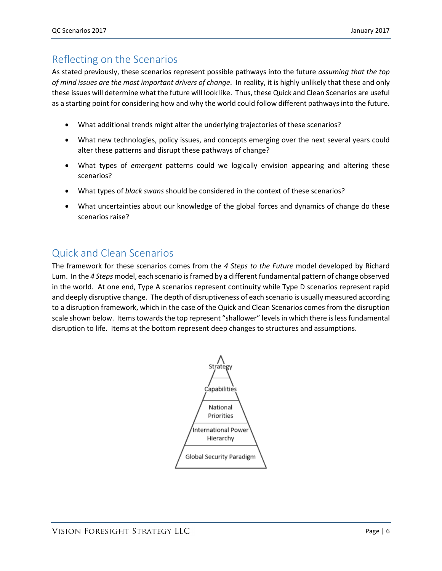# Reflecting on the Scenarios

As stated previously, these scenarios represent possible pathways into the future *assuming that the top of mind issues are the most important drivers of change*. In reality, it is highly unlikely that these and only these issues will determine what the future will look like. Thus, these Quick and Clean Scenarios are useful as a starting point for considering how and why the world could follow different pathways into the future.

- What additional trends might alter the underlying trajectories of these scenarios?
- What new technologies, policy issues, and concepts emerging over the next several years could alter these patterns and disrupt these pathways of change?
- What types of *emergent* patterns could we logically envision appearing and altering these scenarios?
- What types of *black swans* should be considered in the context of these scenarios?
- What uncertainties about our knowledge of the global forces and dynamics of change do these scenarios raise?

# Quick and Clean Scenarios

The framework for these scenarios comes from the *4 Steps to the Future* model developed by Richard Lum. In the *4 Steps* model, each scenario is framed by a different fundamental pattern of change observed in the world. At one end, Type A scenarios represent continuity while Type D scenarios represent rapid and deeply disruptive change. The depth of disruptiveness of each scenario is usually measured according to a disruption framework, which in the case of the Quick and Clean Scenarios comes from the disruption scale shown below. Items towards the top represent "shallower" levels in which there is less fundamental disruption to life. Items at the bottom represent deep changes to structures and assumptions.